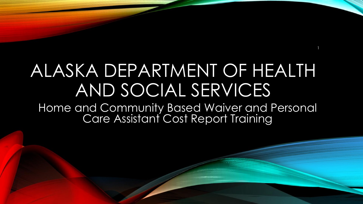# ALASKA DEPARTMENT OF HEALTH AND SOCIAL SERVICES

1

Home and Community Based Waiver and Personal Care Assistant Cost Report Training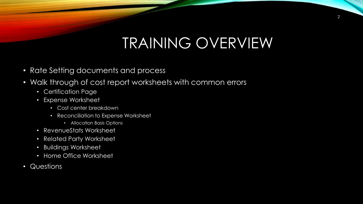# TRAINING OVERVIEW

- Rate Setting documents and process
- Walk through of cost report worksheets with common errors
	- Certification Page
	- Expense Worksheet
		- Cost center breakdown
		- Reconciliation to Expense Worksheet
			- Allocation Basis Options
	- RevenueStats Worksheet
	- Related Party Worksheet
	- Buildings Worksheet
	- Home Office Worksheet
- Questions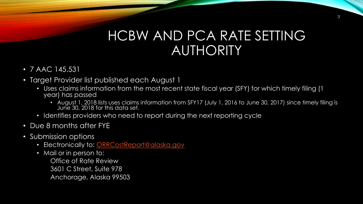### HCBW AND PCA RATE SETTING AUTHORITY

- 7 AAC 145.531
- Target Provider list published each August 1
	- Uses claims information from the most recent state fiscal year (SFY) for which timely filing (1 year) has passed
		- August 1, 2018 lists uses claims information from SFY17 (July 1, 2016 to June 30, 2017) since timely filing is June 30, 2018 for this data set.
	- Identifies providers who need to report during the next reporting cycle
- Due 8 months after FYE
- Submission options
	- Electronically to: [ORRCostReport@alaska.gov](mailto:ORRCostReport@alaska.gov)
	- Mail or in person to:

Office of Rate Review 3601 C Street, Suite 978 Anchorage, Alaska 99503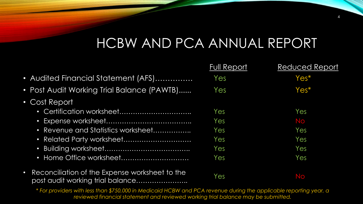## HCBW AND PCA ANNUAL REPORT

4

|                                                                                                 | <b>Full Report</b> | <b>Reduced Report</b> |
|-------------------------------------------------------------------------------------------------|--------------------|-----------------------|
| • Audited Financial Statement (AFS)                                                             | Yes                | $Yes*$                |
| • Post Audit Working Trial Balance (PAWTB)                                                      | Yes                | Yes*                  |
| • Cost Report                                                                                   |                    |                       |
|                                                                                                 | Yes                | Yes                   |
|                                                                                                 | Yes                | No                    |
| • Revenue and Statistics worksheet                                                              | Yes                | Yes                   |
| • Related Party worksheet                                                                       | Yes                | Yes                   |
|                                                                                                 | Yes                | Yes                   |
|                                                                                                 | Yes                | Yes                   |
| Reconciliation of the Expense worksheet to the<br>$\bullet$<br>post audit working trial balance | Yes                | No                    |

\* *For providers with less than \$750,000 in Medicaid HCBW and PCA revenue during the applicable reporting year, a reviewed financial statement and reviewed working trial balance may be submitted.*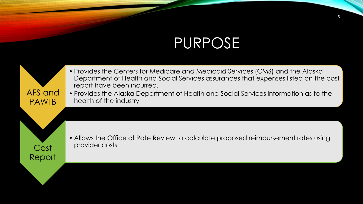# PURPOSE

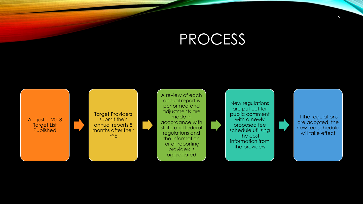# PROCESS

August 1, 2018 Target List Published

Target Providers submit their annual reports 8 months after their FYE

A review of each annual report is performed and adjustments are made in accordance with state and federal regulations and the information for all reporting providers is aggregated

New regulations are put out for public comment with a newly proposed fee schedule utilizing the cost information from the providers

If the regulations are adopted, the new fee schedule will take effect

6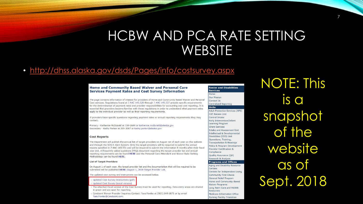#### HCBW AND PCA RATE SETTING **WEBSITE**

#### • <http://dhss.alaska.gov/dsds/Pages/info/costsurvey.aspx>

#### **Home and Community Based Waiver and Personal Care Services Payment Rates and Cost Survey Information**

The page contains information of interest for providers of Home and Community Based Waiver and Personal Care services. Regulations found at 7 AAC 145.520 through 7 AAC 145.537 provide specific requirements for the determination of payment rates and provider responsibilities for accounting and cost reporting. It is essential that providers become familiar with these regulations in order to understand what payment rates apply to the individual provider as well as their reporting requirements.

If providers have specific questions regarding payment rates or annual reporting requirements they may contact:

Primary - Katherine McDonald at 334-2644 or katherine.mcdonald@alaska.gov Secondary - Kathy Parker at 269-3007 or kathy.parker@alaska.gov

#### **Cost Reports**

The Department will publish the annual list of target providers on August 1st of each year on this website and through the SDS E-Alert System. Only the target providers will be required to submit the annual reports specified in 7 AAC 145.531 and will be required to submit the information 8 months after their fiscal year end. A frequently asked questions (FAQ) document regarding the target provider list and annual reporting requirements can be found HERE and the Personal Care Attendant and Waiver Rate-Setting Methodology can be found HERE

#### **List of Target Providers**

On August 1 of each year, the target provider list and the documentation that will be required to be submitted will be published HERE: August 1, 2018 Target Provider List.

The updated cost survey and instructions can be accessed below

#### > Updated Cost Survey Instructions (pdf)

> Updated Cost Survey (excel version)

- > The attached Excel version of the Cost Survey must be used for reporting. Data entry areas are shaded in green and are open for reporting.
- > Conduent Waiver Provider Inquiries Contact: Tara Fowler at (907) 644-6871 or by email Tara.Fowler@Conduent.com.

#### **Senior and Disabilities Services** Home

**Our Mission Contact Us Centralized Reporting Units** 

Adult Protective Services (APS) CAT Review Unit Central Intake **Farly Intervention/Infant** Learning Program **Grant Services Intake and Assessment Unit Intellectual & Developmental** Disabilities (IDD) Unit Operations, Training, Transportation & Hearings Policy & Program Development **Provider Certification &** Compliance

Quality Assurance (QA) **Research & Analysis** 

#### **Programs and Offices**

Aging and Disability Resource Centers

Centers for Independent Living **Community First Choice General Relief Program** Home and Community-Based **Waiver Programs** Long Term Care and PASRR Resources Medicare Information Office **Nursing Facility Transition** 

NOTE: This is a snapshot of the website as of Sept. 2018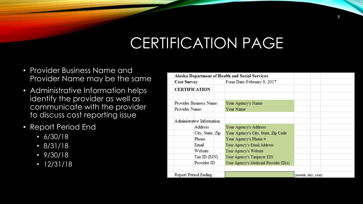# CERTIFICATION PAGE

- Provider Business Name and Provider Name may be the same
- Administrative Information helps identify the provider as well as communicate with the provider to discuss cost reporting issue
- Report Period End
	- 6/30/18
	- 8/31/18
	- 9/30/18
	- 12/31/18

|                             | <b>Alaska Department of Health and Social Services</b> |                                       |                    |  |
|-----------------------------|--------------------------------------------------------|---------------------------------------|--------------------|--|
| <b>Cost Survey</b>          |                                                        | Form Date-February 8, 2017            |                    |  |
| <b>CERTIFICATION</b>        |                                                        |                                       |                    |  |
|                             |                                                        |                                       |                    |  |
| Provider Business Name:     |                                                        | Your Agency's Name                    |                    |  |
| Provider Name:              |                                                        | Your Name                             |                    |  |
|                             |                                                        |                                       |                    |  |
| Administrative Information: |                                                        |                                       |                    |  |
| Address                     |                                                        | Your Agency's Address                 |                    |  |
|                             | City, State, Zip                                       | Your Agency's City, State, Zip Code   |                    |  |
| Phone                       |                                                        | Your Agency's Phone #                 |                    |  |
| Email                       |                                                        | Your Agency's Email Address           |                    |  |
| Website                     |                                                        | Your Agency's Website                 |                    |  |
|                             | Tax ID (EIN)                                           | Your Agency's Taxpayer EIN            |                    |  |
| Provider ID                 |                                                        | Your Agency's Medicaid Provider ID(s) |                    |  |
|                             |                                                        |                                       |                    |  |
| Report Period Ending:       |                                                        |                                       | (month, day, year) |  |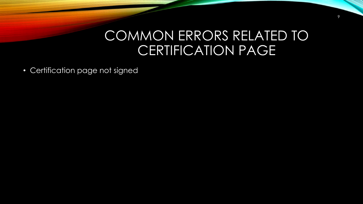#### COMMON ERRORS RELATED TO CERTIFICATION PAGE

• Certification page not signed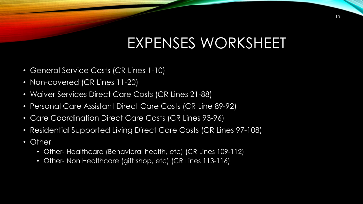- General Service Costs (CR Lines 1-10)
- Non-covered (CR Lines 11-20)
- Waiver Services Direct Care Costs (CR Lines 21-88)
- Personal Care Assistant Direct Care Costs (CR Line 89-92)
- Care Coordination Direct Care Costs (CR Lines 93-96)
- Residential Supported Living Direct Care Costs (CR Lines 97-108)
- Other
	- Other- Healthcare (Behavioral health, etc) (CR Lines 109-112)
	- Other- Non Healthcare (gift shop, etc) (CR Lines 113-116)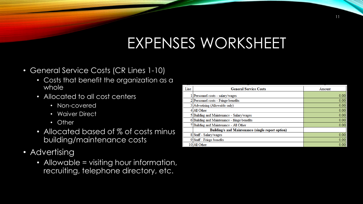- General Service Costs (CR Lines 1-10)
	- Costs that benefit the organization as a whole
	- Allocated to all cost centers
		- Non-covered
		- Waiver Direct
		- Other
	- Allocated based of % of costs minus building/maintenance costs
- Advertising
	- Allowable = visiting hour information, recruiting, telephone directory, etc.

| Line | <b>General Service Costs</b>                      | Amount |
|------|---------------------------------------------------|--------|
|      | 1 Personnel costs - salary/wages                  | 0.00   |
|      | 2 Personnel costs - Fringe benefits               | 0.00   |
|      | 3 Advertising (Allowable only)                    | 0.00   |
|      | 4 All Other                                       | 0.00   |
|      | 5 Building and Maintenance - Salary/wages         | 0.00   |
|      | 6 Building and Maintenance - fringe benefits      | 0.00   |
|      | 7 Building and Maintenance - All Other            | 0.00   |
|      | Building/s and Maintenance (single report option) |        |
|      | 8 Staff - Salary/wages                            | 0.00   |
|      | 9 Staff - Fringe benefits                         | 0.00   |
|      | 10 All Other                                      | 0.00   |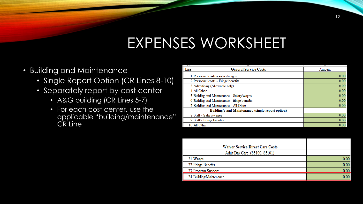- Building and Maintenance
	- Single Report Option (CR Lines 8-10)
	- Separately report by cost center
		- A&G building (CR Lines 5-7)
		- For each cost center, use the applicable "building/maintenance" CR Line

| Line | <b>General Service Costs</b>                             | Amount |
|------|----------------------------------------------------------|--------|
|      | 1 Personnel costs - salary/wages                         | 0.00   |
|      | 2 Personnel costs - Fringe benefits                      | 0.00   |
|      | 3 Advertising (Allowable only)                           | 0.00   |
|      | 4 All Other                                              | 0.00   |
|      | 5 Building and Maintenance - Salary/wages                | 0.00   |
|      | 6 Building and Maintenance - fringe benefits             | 0.00   |
|      | 7 Building and Maintenance - All Other                   | 0.00   |
|      | <b>Building/s and Maintenance (single report option)</b> |        |
|      | 8 Staff - Salary/wages                                   | 0.00   |
|      | 9 Staff - Fringe benefits                                | 0.00   |
|      | 10 All Other                                             | 0.00   |

| <b>Waiver Service Direct Care Costs</b> |          |
|-----------------------------------------|----------|
| Adult Day Care (S5100, S5101)           |          |
| 21 Wages                                | 0.00     |
| 22 Fringe Benefits                      | 0.00     |
| 23 Program Support                      | 0.00     |
| 24 Building/Maintenance                 | $0.00\,$ |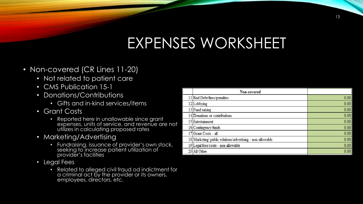- Non-covered (CR Lines 11-20)
	- Not related to patient care
	- CMS Publication 15-1
	- Donations/Contributions
		- Gifts and in-kind services/items
	- Grant Costs
		- Reported here in unallowable since grant expenses, units of service, and revenue are not utilizes in calculating proposed rates
	- Marketing/Advertising
		- Fundraising, issuance of provider's own stock, seeking to increase patient utilization of provider's facilities
	- Legal Fees
		- Related to alleged civil fraud od indictment for a criminal act by the provider or its owners, employees, directors, etc.

| Non-covered                                               |      |
|-----------------------------------------------------------|------|
| 11 Bad Debt/fines/penalties                               | 0.00 |
| 12 Lobbying                                               | 0.00 |
| 13 Fund raising                                           | 0.00 |
| 14 Donations or contributions                             | 0.00 |
| 15 Entertainment                                          | 0.00 |
| 16 Contingency funds                                      | 0.00 |
| 17 Grant Costs - all                                      | 0.00 |
| 18 Marketing/public relations/advertising - non-allowable | 0.00 |
| 19 Legal fees/costs - non allowable                       | 0.00 |
| 20 All Other                                              | 0.00 |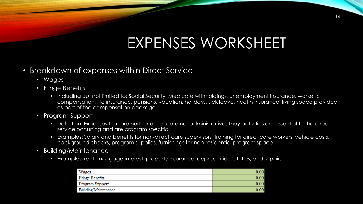#### • Breakdown of expenses within Direct Service

- Wages
- Fringe Benefits
	- Including but not limited to: Social Security, Medicare withholdings, unemployment insurance, worker's compensation, life insurance, pensions, vacation, holidays, sick leave, health insurance, living space provided as part of the compensation package
- Program Support
	- Definition: Expenses that are neither direct care nor administrative. They activities are essential to the direct service occurring and are program specific.
	- Examples: Salary and benefits for non-direct care supervisors, training for direct care workers, vehicle costs, background checks, program supplies, furnishings for non-residential program space
- Building/Maintenance
	- Examples: rent, mortgage interest, property insurance, depreciation, utilities, and repairs

| Wages                  | 00 <sub>1</sub> |
|------------------------|-----------------|
| <b>Fringe Benefits</b> | 00 <sub>1</sub> |
| Program Support        | 00              |
| Building/Maintenance   | 00              |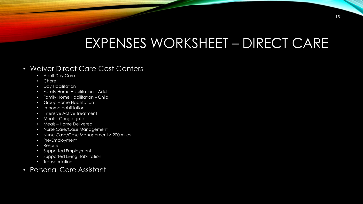## EXPENSES WORKSHEET – DIRECT CARE

#### • Waiver Direct Care Cost Centers

- Adult Day Care
- Chore
- Day Habilitation
- Family Home Habilitation Adult
- Family Home Habilitation Child
- Group Home Habilitation
- In-home Habilitation
- Intensive Active Treatment
- Meals Congregate
- Meals Home Delivered
- Nurse Care/Case Management
- Nurse Case/Case Management > 200 miles
- Pre-Employment
- Respite
- Supported Employment
- Supported Living Habilitation
- Transportation
- Personal Care Assistant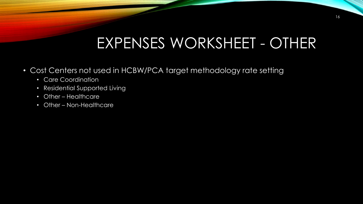# EXPENSES WORKSHEET - OTHER

- Cost Centers not used in HCBW/PCA target methodology rate setting
	- Care Coordination
	- Residential Supported Living
	- Other Healthcare
	- Other Non-Healthcare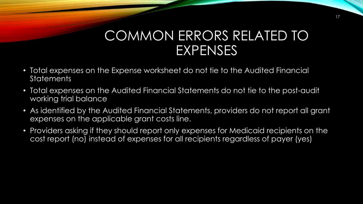- Total expenses on the Expense worksheet do not tie to the Audited Financial **Statements**
- Total expenses on the Audited Financial Statements do not tie to the post-audit working trial balance
- As identified by the Audited Financial Statements, providers do not report all grant expenses on the applicable grant costs line.
- Providers asking if they should report only expenses for Medicaid recipients on the cost report (no) instead of expenses for all recipients regardless of payer (yes)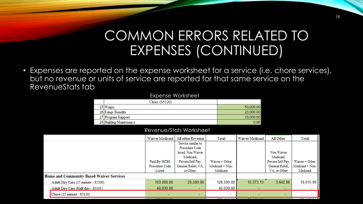## COMMON ERRORS RELATED TO EXPENSES (CONTINUED)

• Expenses are reported on the expense worksheet for a service (i.e. chore services), but no revenue or units of service are reported for that same service on the RevenueStats tab

#### Expense Worksheet

| Chore $(S5120)$         |           |
|-------------------------|-----------|
| 25 Wages                | 50,000.00 |
| 26 Fringe Benefits      | 20,000.00 |
| 27 Program Support      | 10,000.00 |
| 28 Building/Maintenance |           |

#### Revenue/Stats Worksheet

|                                                 |                                    | Waiver Medicaid | All other Revenue   | Total                    | Waiver Medicaid | All Other                | Total           |
|-------------------------------------------------|------------------------------------|-----------------|---------------------|--------------------------|-----------------|--------------------------|-----------------|
|                                                 |                                    |                 | Service similar to  |                          |                 |                          |                 |
|                                                 |                                    |                 | Procedure Code      |                          |                 |                          |                 |
|                                                 |                                    |                 | listed. Non Waiver  |                          |                 | Non Waiver               |                 |
|                                                 |                                    |                 | Medicaid.           |                          |                 | Medicaid,                |                 |
|                                                 |                                    | Paid By HCBS    | Private/Self Pay,   | Waiver + Other           |                 | Private/Self Pay,        | Waiver + Other  |
|                                                 |                                    | Procedure Code  | General Relief, VA, | Medicaid + Non-          |                 | General Relief,          | Medicaid + Non- |
|                                                 |                                    | Listed          | or Other.           | Medicaid                 |                 | VA, or Other             | Medicaid        |
| <b>Home and Community Based Waiver Services</b> |                                    |                 |                     |                          |                 |                          |                 |
|                                                 | Adult Day Care (15 minute - S5100) | 103,000.00      | 25,500.00           | 128,500.00               | 15,373.13       | 3,642.86                 | 19,015.99       |
|                                                 | Adult Day Care (Half day - S5101)  | 40,030.00       | $\sim$              | 40,030.00                | ۰               | ٠                        |                 |
|                                                 | Chore (15 minute - S5120)          |                 | ۰                   | $\overline{\phantom{a}}$ | ۰               | $\overline{\phantom{a}}$ |                 |
|                                                 |                                    |                 |                     |                          |                 |                          |                 |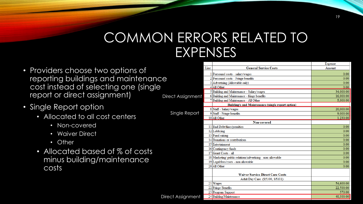- Providers choose two options of reporting buildings and maintenance cost instead of selecting one (single report or direct assignment) Direct Assignme
- Single Report option
	- Allocated to all cost centers
		- Non-covered
		- Waiver Direct
		- Other
	- Allocated based of % of costs minus building/maintenance costs

|      |                                                            | Expense   |
|------|------------------------------------------------------------|-----------|
| Line | <b>General Service Costs</b>                               | Amount    |
|      | 1 Personnel costs - salary/wages                           | 0.00      |
|      | 2 Personnel costs - Fringe benefits                        | 0.00      |
|      | 3 Advertising (Allowable only)                             | 0.00      |
|      | 4 All Other                                                | 0.00      |
|      | 5 Building and Maintenance - Salary/wages                  | 34,000.00 |
|      | 6 Building and Maintenance - fringe benefits               | 16,000.00 |
|      | 7 Building and Maintenance - All Other                     | 5,000.00  |
|      | <b>Building/s and Maintenance (single report option)</b>   |           |
|      | 8 Staff - Salary/wages                                     | 20,000.00 |
|      | 9 Staff - Fringe benefits                                  | 9,000.00  |
|      | 10 All Other                                               | 1,230.00  |
|      | Non-covered                                                |           |
|      | 11 Bad Debt/fines/penalties                                | 0.00      |
|      | 12 Lobbying                                                | 0.00      |
|      | 13 Fund raising                                            | 0.00      |
|      | 14 Donations or contributions                              | 0.00      |
|      | 15 Entertainment                                           | 0.00      |
|      | 16 Contingency funds                                       | 0.00      |
|      | 17 Grant Costs - all                                       | 0.00      |
|      | 18 Marketing/ public relations/advertising - non-allowable | 0.00      |
|      | 19 Legal fees/costs - non allowable                        | 0.00      |
|      | 20 All Other                                               | 0.00      |
|      |                                                            |           |
|      | <b>Waiver Service Direct Care Costs</b>                    |           |
|      | Adult Day Care (S5100, S5101)                              |           |
|      | 21 Wages                                                   | 54,600.00 |
|      | 22 Fringe Benefits                                         | 22,500.00 |
|      | 23 Program Support                                         | 570.00    |
|      | 24 Building/Maintenance                                    | 40,300.00 |

Single Repo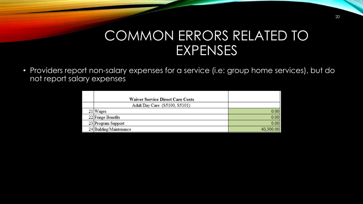• Providers report non-salary expenses for a service (i.e: group home services), but do not report salary expenses

| <b>Waiver Service Direct Care Costs</b> |           |
|-----------------------------------------|-----------|
| Adult Day Care (S5100, S5101)           |           |
| 21 Wages                                | 0.00      |
| 22 Fringe Benefits                      | 0.00      |
| 23 Program Support                      | 0.00      |
| 24 Building/Maintenance                 | 40,300.00 |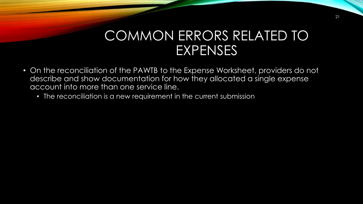- On the reconciliation of the PAWTB to the Expense Worksheet, providers do not describe and show documentation for how they allocated a single expense account into more than one service line.
	- The reconciliation is a new requirement in the current submission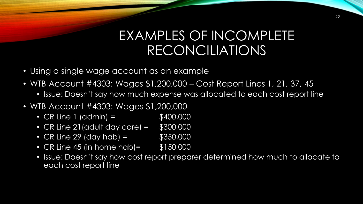### EXAMPLES OF INCOMPLETE RECONCILIATIONS

- Using a single wage account as an example
- WTB Account #4303: Wages \$1,200,000 Cost Report Lines 1, 21, 37, 45
	- Issue: Doesn't say how much expense was allocated to each cost report line
- WTB Account #4303: Wages \$1,200,000
	- CR Line 1 (admin) =  $$400,000$
	- CR Line 21 (adult day care) =  $$300,000$
	- CR Line 29 (day hab) =  $$350,000$
	- CR Line 45 (in home hab) = \$150,000
	- Issue: Doesn't say how cost report preparer determined how much to allocate to each cost report line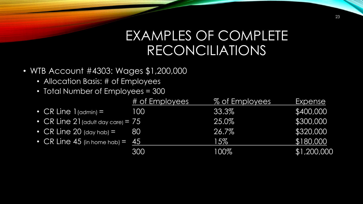## EXAMPLES OF COMPLETE RECONCILIATIONS

- WTB Account #4303: Wages \$1,200,000
	- Allocation Basis: # of Employees
	- Total Number of Employees = 300

|                                                | # of Employees | % of Employees | <u>Expense</u> |
|------------------------------------------------|----------------|----------------|----------------|
| • CR Line $1$ (admin) =                        | 100            | 33.3%          | \$400,000      |
| • CR Line $21$ (adult day care) = $75$         |                | 25.0%          | \$300,000      |
| • $CR$ Line 20 (day hab) =                     | 80             | 26.7%          | \$320,000      |
| • $CR$ Line 45 (in home hab) = $\overline{45}$ |                | 15%            | \$180,000      |
|                                                | 300            | 100%           | \$1,200,000    |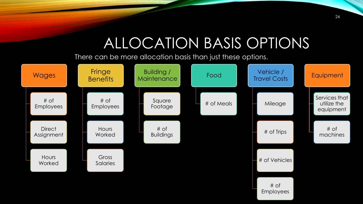# ALLOCATION BASIS OPTIONS

There can be more allocation basis than just these options.

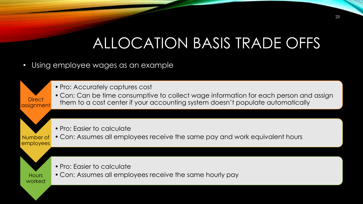# ALLOCATION BASIS TRADE OFFS

- Using employee wages as an example
	- Pro: Accurately captures cost

assignment • Con: Can be time consumptive to collect wage information for each person and assign them to a cost center if your accounting system doesn't populate automatically

- Pro: Easier to calculate
- Number of employees • Con: Assumes all employees receive the same pay and work equivalent hours



**Direct** 

- Pro: Easier to calculate
- Con: Assumes all employees receive the same hourly pay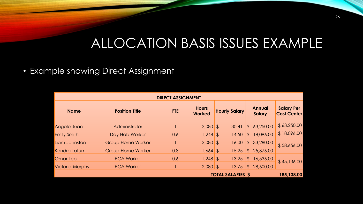## ALLOCATION BASIS ISSUES EXAMPLE

#### • Example showing Direct Assignment

| <b>DIRECT ASSIGNMENT</b> |                          |            |                               |                      |                                |                                         |  |  |
|--------------------------|--------------------------|------------|-------------------------------|----------------------|--------------------------------|-----------------------------------------|--|--|
| <b>Name</b>              | <b>Position Title</b>    | <b>FTE</b> | <b>Hours</b><br><b>Worked</b> | <b>Hourly Salary</b> | <b>Annual</b><br><b>Salary</b> | <b>Salary Per</b><br><b>Cost Center</b> |  |  |
| Angelo Juan              | Administrator            |            | $2,080$ \$                    | 30.41                | \$63,250.00                    | \$63,250.00                             |  |  |
| Emily Smith              | Day Hab Worker           | 0.6        | $1,248$ \$                    | 14.50                | 18,096.00<br>$\mathfrak{L}$    | \$18,096.00                             |  |  |
| Liam Johnston            | <b>Group Home Worker</b> |            | $2,080$ \$                    | 16.00                | 33,280.00<br>$\mathfrak{L}$    | \$58,656.00                             |  |  |
| <b>Kendra Tatum</b>      | <b>Group Home Worker</b> | 0.8        | $1,664$ \$                    | 15.25                | \$25,376.00                    |                                         |  |  |
| Omar Leo                 | <b>PCA Worker</b>        | 0.6        | $1,248$ \$                    | 13.25                | 16,536.00<br>\$                | \$45,136.00                             |  |  |
| <b>Victoria Murphy</b>   | <b>PCA Worker</b>        |            | $2,080$ \$                    | 13.75                | \$28,600.00                    |                                         |  |  |
|                          | <b>TOTAL SALARIES S</b>  | 185,138.00 |                               |                      |                                |                                         |  |  |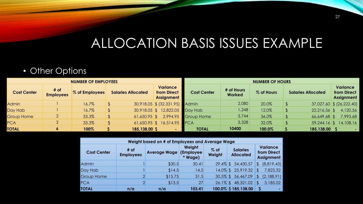## ALLOCATION BASIS ISSUES EXAMPLE

#### • Other Options

| <b>NUMBER OF EMPLOYEES</b> |                          |                |                           | <b>NUMBER OF HOURS</b>                              |                                  |                      |            |                           |                                              |
|----------------------------|--------------------------|----------------|---------------------------|-----------------------------------------------------|----------------------------------|----------------------|------------|---------------------------|----------------------------------------------|
| <b>Cost Center</b>         | # of<br><b>Employees</b> | % of Employees | <b>Salaries Allocated</b> | <b>Variance</b><br>from Direct<br><b>Assignment</b> | <b>Cost Center</b>               | # of Hours<br>Worked | % of Hours | <b>Salaries Allocated</b> | <b>Variance</b><br>from Direct<br>Assignment |
| <b>Admin</b>               |                          | 16.7%          |                           | 30,918.05 \$ (32,331.95) Admin                      |                                  | 2,080                | 20.0%      |                           | $37,027.60$ \$ (26,222.40)                   |
| Day Hab                    |                          | 16.7%          |                           | 30,918.05 \$ 12,822.05 Day Hab                      |                                  | 1,248                | 12.0%      | $22,216.56$ \$            | 4,120.56                                     |
| <b>Group Home</b>          |                          | 33.3%          |                           |                                                     | 61,650.95 \$ 2,994.95 Group Home | 3,744                | 36.0%      | 66,649.68                 | 7,993.68                                     |
| <b>PCA</b>                 |                          | 33.3%          |                           | 61,650.95 \$ 16,514.95 PCA                          |                                  | 3,328                | 32.0%      | $59,244.16$ \$            | 14,108.16                                    |
| <b>TOTAL</b>               | ۰                        | 100%           | 185,138.00 \$             |                                                     | <b>TOTAL</b>                     | 10400                | 100.0%     | 185,138.00 \$             |                                              |

| Weight based on # of Employees and Average Wage |                          |                     |                                |                  |                                     |                                              |  |
|-------------------------------------------------|--------------------------|---------------------|--------------------------------|------------------|-------------------------------------|----------------------------------------------|--|
| <b>Cost Center</b>                              | # of<br><b>Employees</b> | <b>Average Wage</b> | Weight<br>(Employee<br>* Wage) | $%$ of<br>Weight | <b>Salaries</b><br><b>Allocated</b> | Variance<br>from Direct<br><b>Assignment</b> |  |
| Admin                                           |                          | \$30.5              | 30.41                          |                  | 29.4% \$ 54,430.57                  | (8,819.43)<br>\$                             |  |
| Day Hab                                         |                          | \$14.5              | 14.5                           |                  | 14.0% \$ 25,919.32                  | 7,823.32<br><sup>3</sup>                     |  |
| <b>Group Home</b>                               |                          | \$15.75             | 31.5                           | $30.5\%$ \$      | 56,467.09                           | (2,188.91)<br>S                              |  |
| <b>PCA</b>                                      | ∩                        | \$13.5              | 27                             | $26.1\%$ \$      | 48,321.02                           | 3,185.02<br>ß.                               |  |
| <b>TOTAL</b>                                    | n/a                      | n/a                 | 103.41                         |                  | 100.0% \$185,138.00                 |                                              |  |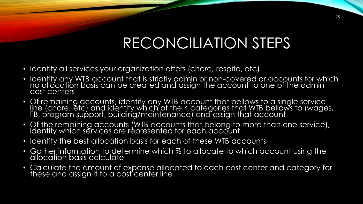# RECONCILIATION STEPS

- Identify all services your organization offers (chore, respite, etc)
- Identify any WTB account that is strictly admin or non-covered or accounts for which no allocation basis can be created and assign the account to one of the admin cost centers
- Of remaining accounts, identify any WTB account that bellows to a single service line (chore, etc) and identify which of the 4 categories that WTB bellows to (wages, FB, program support, building/maintenance) and assign that account
- Of the remaining accounts (WTB accounts that belong to more than one service), identify which services are represented for each account
- Identity the best allocation basis for each of these WTB accounts
- Gather information to determine which % to allocate to which account using the allocation basis calculate
- Calculate the amount of expense allocated to each cost center and category for these and assign it to a cost center line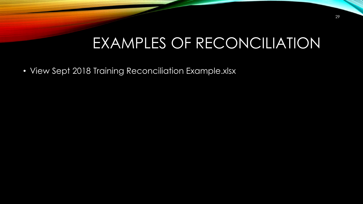# EXAMPLES OF RECONCILIATION

• View Sept 2018 Training Reconciliation Example.xlsx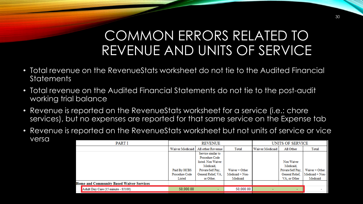## COMMON ERRORS RELATED TO REVENUE AND UNITS OF SERVICE

- Total revenue on the RevenueStats worksheet do not tie to the Audited Financial **Statements**
- Total revenue on the Audited Financial Statements do not tie to the post-audit working trial balance
- Revenue is reported on the RevenueStats worksheet for a service (i.e.: chore services), but no expenses are reported for that same service on the Expense tab
- Revenue is reported on the RevenueStats worksheet but not units of service or vice versa

| PART I |                                                 |                 | <b>REVENUE</b>      |                 | UNITS OF SERVICE |                   |                 |
|--------|-------------------------------------------------|-----------------|---------------------|-----------------|------------------|-------------------|-----------------|
|        |                                                 | Waiver Medicaid | All other Revenue   | Total           | Waiver Medicaid  | All Other         | Total           |
|        |                                                 |                 | Service similar to  |                 |                  |                   |                 |
|        |                                                 |                 | Procedure Code      |                 |                  |                   |                 |
|        |                                                 |                 | listed. Non Waiver  |                 |                  | Non Waiver        |                 |
|        |                                                 |                 | Medicaid.           |                 |                  | Medicaid.         |                 |
|        |                                                 | Paid By HCBS    | Private/Self Pay,   | Waiver + Other  |                  | Private/Self Pay, | Waiver + Other  |
|        |                                                 | Procedure Code  | General Relief, VA. | Medicaid + Non- |                  | General Relief.   | Medicaid + Non- |
|        |                                                 | Listed          | or Other.           | Medicaid        |                  | VA, or Other      | Medicaid        |
|        | <b>Home and Community Based Waiver Services</b> |                 |                     |                 |                  |                   |                 |
|        | Adult Day Care (15 minute - S5100)              | 50,000.00       | $\sim$              | 50,000.00       |                  | -                 |                 |
|        |                                                 |                 |                     |                 |                  |                   |                 |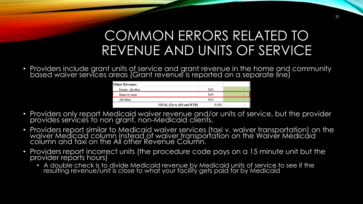## COMMON ERRORS RELATED TO REVENUE AND UNITS OF SERVICE

• Providers include grant units of service and grant revenue in the home and community based waiver services areas (Grant revenue is reported on a separate line)

| <b>Other Revenue:</b> |                                   |        |   |
|-----------------------|-----------------------------------|--------|---|
| Rental - all other    |                                   | N/A    | - |
| Grant revenue         |                                   | N/A    | - |
| All Other             |                                   | N/A    | - |
|                       | <b>TOTAL (Tie to AFS and WTB)</b> | 50,000 |   |

- Providers only report Medicaid waiver revenue and/or units of service, but the provider provides services to non grant, non-Medicaid clients.
- Providers report similar to Medicaid waiver services (taxi v. waiver transportation) on the waiver Medicaid column instead of waiver transportation on the Waiver Medicaid column and taxi on the All other Revenue Column.
- Providers report incorrect units (the procedure code pays on a 15 minute unit but the provider reports hours)
	- A double check is to divide Medicaid revenue by Medicaid units of service to see if the resulting revenue/unit is close to what your facility gets paid for by Medicaid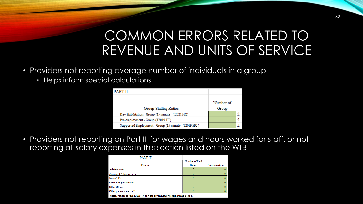## COMMON ERRORS RELATED TO REVENUE AND UNITS OF SERVICE

- Providers not reporting average number of individuals in a group
	- Helps inform special calculations

| <b>PART II</b>                                      |           |  |
|-----------------------------------------------------|-----------|--|
|                                                     |           |  |
|                                                     | Number of |  |
| Group Staffing Ratios                               | Group     |  |
| Day Habilitation - Group (15 minute - T2021 HQ)     |           |  |
| Pre-employment - Group (T2019 TT)                   |           |  |
| Supported Employment - Group (15 minute - T2019 HQ) |           |  |

• Providers not reporting on Part III for wages and hours worked for staff, or not reporting all salary expenses in this section listed on the WTB

| <b>PART III</b>                                                            |                         |              |
|----------------------------------------------------------------------------|-------------------------|--------------|
| Position                                                                   | Number of Paid<br>Hours | Compensation |
| Administrator                                                              |                         |              |
| <b>Assistant Administrator</b>                                             |                         |              |
| Nurse/LPN                                                                  |                         |              |
| Other non-patient care                                                     |                         |              |
| Other Officer                                                              |                         |              |
| Other patient care staff                                                   |                         |              |
| Note: Number of Paid hours - report the actual hours worked during period. |                         |              |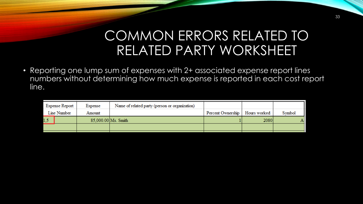### COMMON ERRORS RELATED TO RELATED PARTY WORKSHEET

• Reporting one lump sum of expenses with 2+ associated expense report lines numbers without determining how much expense is reported in each cost report line.

| Expense Report |  | Expense | Name of related party (person or organization) |                   |              |        |
|----------------|--|---------|------------------------------------------------|-------------------|--------------|--------|
| Line Number    |  | Amount  |                                                | Percent Ownership | Hours worked | Symbol |
|                |  |         | 85,000.00 Ms. Smith                            |                   | 2080         |        |
|                |  |         |                                                |                   |              |        |
|                |  |         |                                                |                   |              |        |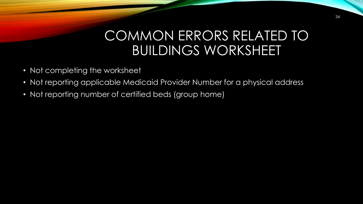### COMMON ERRORS RELATED TO BUILDINGS WORKSHEET

- Not completing the worksheet
- Not reporting applicable Medicaid Provider Number for a physical address
- Not reporting number of certified beds (group home)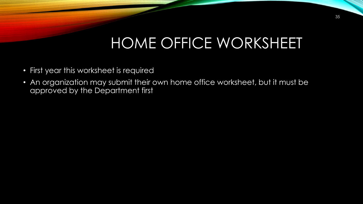# HOME OFFICE WORKSHEET

- First year this worksheet is required
- An organization may submit their own home office worksheet, but it must be approved by the Department first